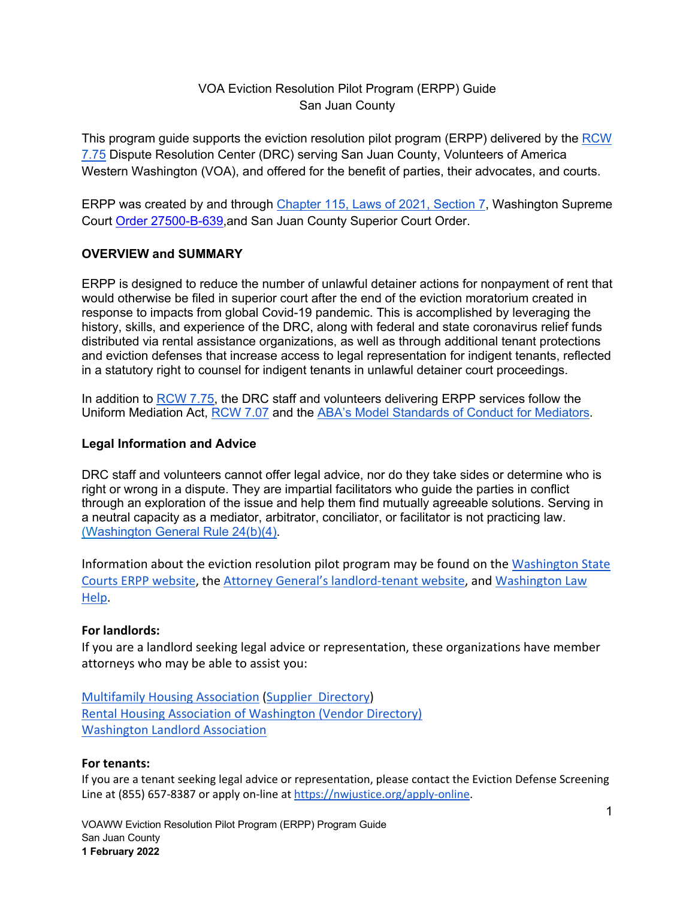## VOA Eviction Resolution Pilot Program (ERPP) Guide San Juan County

This program guide supports the eviction resolution pilot program (ERPP) delivered by the RCW 7.75 Dispute Resolution Center (DRC) serving San Juan County, Volunteers of America Western Washington (VOA), and offered for the benefit of parties, their advocates, and courts.

ERPP was created by and through Chapter 115, Laws of 2021, Section 7, Washington Supreme Court Order 27500-B-639,and San Juan County Superior Court Order.

#### **OVERVIEW and SUMMARY**

ERPP is designed to reduce the number of unlawful detainer actions for nonpayment of rent that would otherwise be filed in superior court after the end of the eviction moratorium created in response to impacts from global Covid-19 pandemic. This is accomplished by leveraging the history, skills, and experience of the DRC, along with federal and state coronavirus relief funds distributed via rental assistance organizations, as well as through additional tenant protections and eviction defenses that increase access to legal representation for indigent tenants, reflected in a statutory right to counsel for indigent tenants in unlawful detainer court proceedings.

In addition to RCW 7.75, the DRC staff and volunteers delivering ERPP services follow the Uniform Mediation Act, RCW 7.07 and the ABA's Model Standards of Conduct for Mediators.

#### **Legal Information and Advice**

DRC staff and volunteers cannot offer legal advice, nor do they take sides or determine who is right or wrong in a dispute. They are impartial facilitators who guide the parties in conflict through an exploration of the issue and help them find mutually agreeable solutions. Serving in a neutral capacity as a mediator, arbitrator, conciliator, or facilitator is not practicing law. (Washington General Rule 24(b)(4).

Information about the eviction resolution pilot program may be found on the Washington State Courts ERPP website, the Attorney General's landlord-tenant website, and Washington Law Help.

#### **For landlords:**

If you are a landlord seeking legal advice or representation, these organizations have member attorneys who may be able to assist you:

Multifamily Housing Association (Supplier Directory) Rental Housing Association of Washington (Vendor Directory) Washington Landlord Association

#### **For tenants:**

If you are a tenant seeking legal advice or representation, please contact the Eviction Defense Screening Line at (855) 657-8387 or apply on-line at https://nwjustice.org/apply-online.

VOAWW Eviction Resolution Pilot Program (ERPP) Program Guide San Juan County **1 February 2022**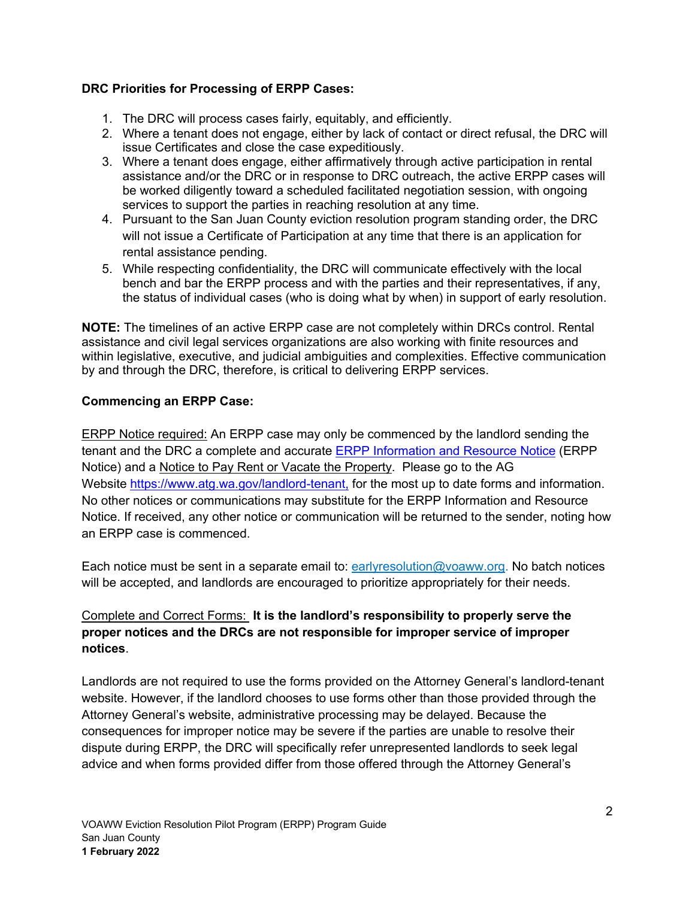## **DRC Priorities for Processing of ERPP Cases:**

- 1. The DRC will process cases fairly, equitably, and efficiently.
- 2. Where a tenant does not engage, either by lack of contact or direct refusal, the DRC will issue Certificates and close the case expeditiously.
- 3. Where a tenant does engage, either affirmatively through active participation in rental assistance and/or the DRC or in response to DRC outreach, the active ERPP cases will be worked diligently toward a scheduled facilitated negotiation session, with ongoing services to support the parties in reaching resolution at any time.
- 4. Pursuant to the San Juan County eviction resolution program standing order, the DRC will not issue a Certificate of Participation at any time that there is an application for rental assistance pending.
- 5. While respecting confidentiality, the DRC will communicate effectively with the local bench and bar the ERPP process and with the parties and their representatives, if any, the status of individual cases (who is doing what by when) in support of early resolution.

**NOTE:** The timelines of an active ERPP case are not completely within DRCs control. Rental assistance and civil legal services organizations are also working with finite resources and within legislative, executive, and judicial ambiguities and complexities. Effective communication by and through the DRC, therefore, is critical to delivering ERPP services.

## **Commencing an ERPP Case:**

ERPP Notice required: An ERPP case may only be commenced by the landlord sending the tenant and the DRC a complete and accurate ERPP Information and Resource Notice (ERPP Notice) and a Notice to Pay Rent or Vacate the Property. Please go to the AG Website https://www.atg.wa.gov/landlord-tenant, for the most up to date forms and information. No other notices or communications may substitute for the ERPP Information and Resource Notice. If received, any other notice or communication will be returned to the sender, noting how an ERPP case is commenced.

Each notice must be sent in a separate email to:  $\frac{earlyresolution@voaww.org}{e}$ . No batch notices will be accepted, and landlords are encouraged to prioritize appropriately for their needs.

## Complete and Correct Forms: **It is the landlord's responsibility to properly serve the proper notices and the DRCs are not responsible for improper service of improper notices**.

Landlords are not required to use the forms provided on the Attorney General's landlord-tenant website. However, if the landlord chooses to use forms other than those provided through the Attorney General's website, administrative processing may be delayed. Because the consequences for improper notice may be severe if the parties are unable to resolve their dispute during ERPP, the DRC will specifically refer unrepresented landlords to seek legal advice and when forms provided differ from those offered through the Attorney General's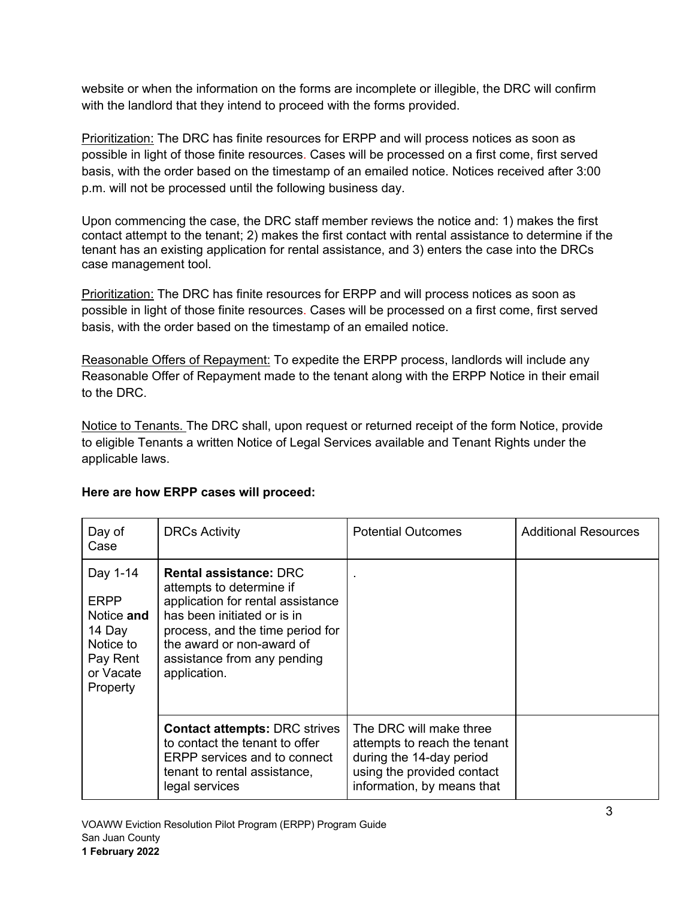website or when the information on the forms are incomplete or illegible, the DRC will confirm with the landlord that they intend to proceed with the forms provided.

Prioritization: The DRC has finite resources for ERPP and will process notices as soon as possible in light of those finite resources. Cases will be processed on a first come, first served basis, with the order based on the timestamp of an emailed notice. Notices received after 3:00 p.m. will not be processed until the following business day.

Upon commencing the case, the DRC staff member reviews the notice and: 1) makes the first contact attempt to the tenant; 2) makes the first contact with rental assistance to determine if the tenant has an existing application for rental assistance, and 3) enters the case into the DRCs case management tool.

Prioritization: The DRC has finite resources for ERPP and will process notices as soon as possible in light of those finite resources. Cases will be processed on a first come, first served basis, with the order based on the timestamp of an emailed notice.

Reasonable Offers of Repayment: To expedite the ERPP process, landlords will include any Reasonable Offer of Repayment made to the tenant along with the ERPP Notice in their email to the DRC.

Notice to Tenants. The DRC shall, upon request or returned receipt of the form Notice, provide to eligible Tenants a written Notice of Legal Services available and Tenant Rights under the applicable laws.

| Day of<br>Case                                                                                    | <b>DRCs Activity</b>                                                                                                                                                                                                                          | <b>Potential Outcomes</b>                                                                                                                       | <b>Additional Resources</b> |
|---------------------------------------------------------------------------------------------------|-----------------------------------------------------------------------------------------------------------------------------------------------------------------------------------------------------------------------------------------------|-------------------------------------------------------------------------------------------------------------------------------------------------|-----------------------------|
| Day 1-14<br><b>ERPP</b><br>Notice and<br>14 Day<br>Notice to<br>Pay Rent<br>or Vacate<br>Property | <b>Rental assistance: DRC</b><br>attempts to determine if<br>application for rental assistance<br>has been initiated or is in<br>process, and the time period for<br>the award or non-award of<br>assistance from any pending<br>application. |                                                                                                                                                 |                             |
|                                                                                                   | <b>Contact attempts: DRC strives</b><br>to contact the tenant to offer<br><b>ERPP</b> services and to connect<br>tenant to rental assistance,<br>legal services                                                                               | The DRC will make three<br>attempts to reach the tenant<br>during the 14-day period<br>using the provided contact<br>information, by means that |                             |

# **Here are how ERPP cases will proceed:**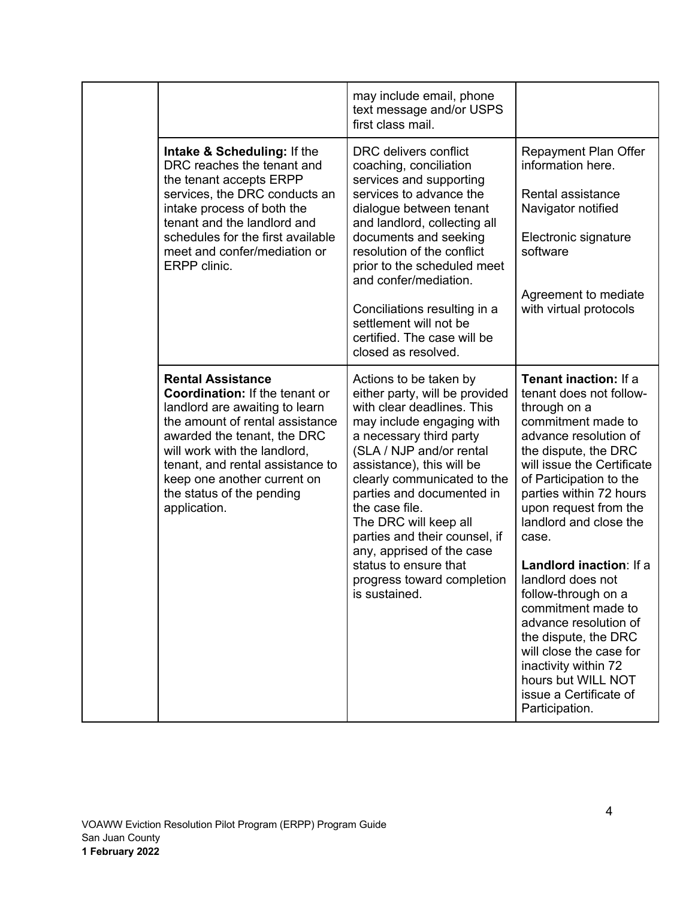|  |                                                                                                                                                                                                                                                                                                                | may include email, phone<br>text message and/or USPS<br>first class mail.                                                                                                                                                                                                                                                                                                                                                                            |                                                                                                                                                                                                                                                                                                                                                                                                                                                                                                                                                            |
|--|----------------------------------------------------------------------------------------------------------------------------------------------------------------------------------------------------------------------------------------------------------------------------------------------------------------|------------------------------------------------------------------------------------------------------------------------------------------------------------------------------------------------------------------------------------------------------------------------------------------------------------------------------------------------------------------------------------------------------------------------------------------------------|------------------------------------------------------------------------------------------------------------------------------------------------------------------------------------------------------------------------------------------------------------------------------------------------------------------------------------------------------------------------------------------------------------------------------------------------------------------------------------------------------------------------------------------------------------|
|  | Intake & Scheduling: If the<br>DRC reaches the tenant and<br>the tenant accepts ERPP<br>services, the DRC conducts an<br>intake process of both the<br>tenant and the landlord and<br>schedules for the first available<br>meet and confer/mediation or<br>ERPP clinic.                                        | DRC delivers conflict<br>coaching, conciliation<br>services and supporting<br>services to advance the<br>dialogue between tenant<br>and landlord, collecting all<br>documents and seeking<br>resolution of the conflict<br>prior to the scheduled meet<br>and confer/mediation.<br>Conciliations resulting in a<br>settlement will not be<br>certified. The case will be<br>closed as resolved.                                                      | Repayment Plan Offer<br>information here.<br>Rental assistance<br>Navigator notified<br>Electronic signature<br>software<br>Agreement to mediate<br>with virtual protocols                                                                                                                                                                                                                                                                                                                                                                                 |
|  | <b>Rental Assistance</b><br>Coordination: If the tenant or<br>landlord are awaiting to learn<br>the amount of rental assistance<br>awarded the tenant, the DRC<br>will work with the landlord,<br>tenant, and rental assistance to<br>keep one another current on<br>the status of the pending<br>application. | Actions to be taken by<br>either party, will be provided<br>with clear deadlines. This<br>may include engaging with<br>a necessary third party<br>(SLA / NJP and/or rental<br>assistance), this will be<br>clearly communicated to the<br>parties and documented in<br>the case file.<br>The DRC will keep all<br>parties and their counsel, if<br>any, apprised of the case<br>status to ensure that<br>progress toward completion<br>is sustained. | Tenant inaction: If a<br>tenant does not follow-<br>through on a<br>commitment made to<br>advance resolution of<br>the dispute, the DRC<br>will issue the Certificate<br>of Participation to the<br>parties within 72 hours<br>upon request from the<br>landlord and close the<br>case.<br>Landlord inaction: If a<br>landlord does not<br>follow-through on a<br>commitment made to<br>advance resolution of<br>the dispute, the DRC<br>will close the case for<br>inactivity within 72<br>hours but WILL NOT<br>issue a Certificate of<br>Participation. |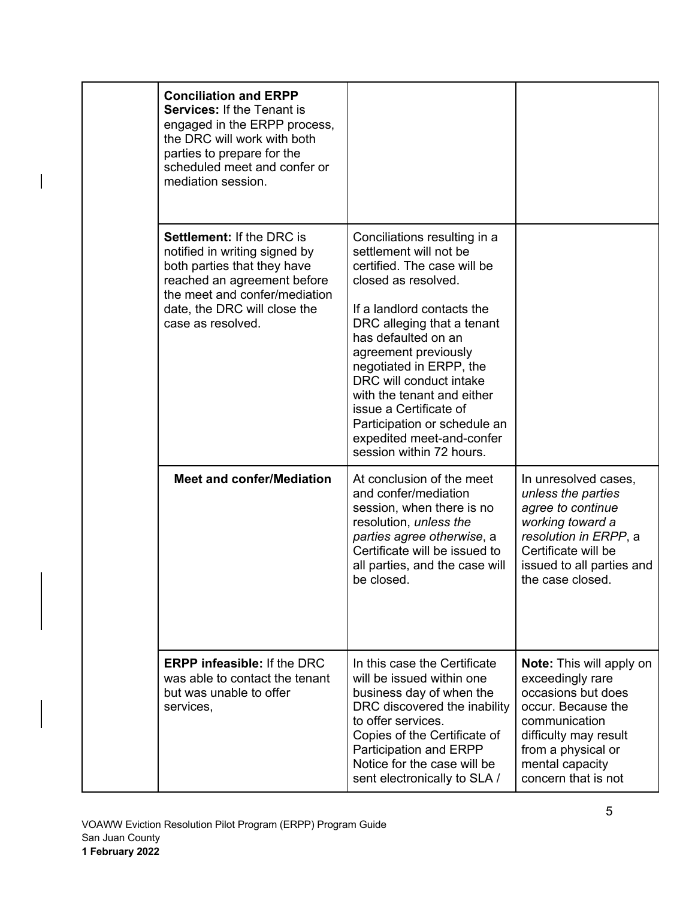|  | <b>Conciliation and ERPP</b><br><b>Services: If the Tenant is</b><br>engaged in the ERPP process,<br>the DRC will work with both<br>parties to prepare for the<br>scheduled meet and confer or<br>mediation session.  |                                                                                                                                                                                                                                                                                                                                                                                                                                |                                                                                                                                                                                                           |
|--|-----------------------------------------------------------------------------------------------------------------------------------------------------------------------------------------------------------------------|--------------------------------------------------------------------------------------------------------------------------------------------------------------------------------------------------------------------------------------------------------------------------------------------------------------------------------------------------------------------------------------------------------------------------------|-----------------------------------------------------------------------------------------------------------------------------------------------------------------------------------------------------------|
|  | <b>Settlement: If the DRC is</b><br>notified in writing signed by<br>both parties that they have<br>reached an agreement before<br>the meet and confer/mediation<br>date, the DRC will close the<br>case as resolved. | Conciliations resulting in a<br>settlement will not be<br>certified. The case will be<br>closed as resolved.<br>If a landlord contacts the<br>DRC alleging that a tenant<br>has defaulted on an<br>agreement previously<br>negotiated in ERPP, the<br>DRC will conduct intake<br>with the tenant and either<br>issue a Certificate of<br>Participation or schedule an<br>expedited meet-and-confer<br>session within 72 hours. |                                                                                                                                                                                                           |
|  | <b>Meet and confer/Mediation</b>                                                                                                                                                                                      | At conclusion of the meet<br>and confer/mediation<br>session, when there is no<br>resolution, unless the<br>parties agree otherwise, a<br>Certificate will be issued to<br>all parties, and the case will<br>be closed.                                                                                                                                                                                                        | In unresolved cases,<br>unless the parties<br>agree to continue<br>working toward a<br>resolution in ERPP, a<br>Certificate will be<br>issued to all parties and<br>the case closed.                      |
|  | <b>ERPP infeasible: If the DRC</b><br>was able to contact the tenant<br>but was unable to offer<br>services,                                                                                                          | In this case the Certificate<br>will be issued within one<br>business day of when the<br>DRC discovered the inability<br>to offer services.<br>Copies of the Certificate of<br>Participation and ERPP<br>Notice for the case will be<br>sent electronically to SLA /                                                                                                                                                           | <b>Note:</b> This will apply on<br>exceedingly rare<br>occasions but does<br>occur. Because the<br>communication<br>difficulty may result<br>from a physical or<br>mental capacity<br>concern that is not |

 $\overline{\phantom{a}}$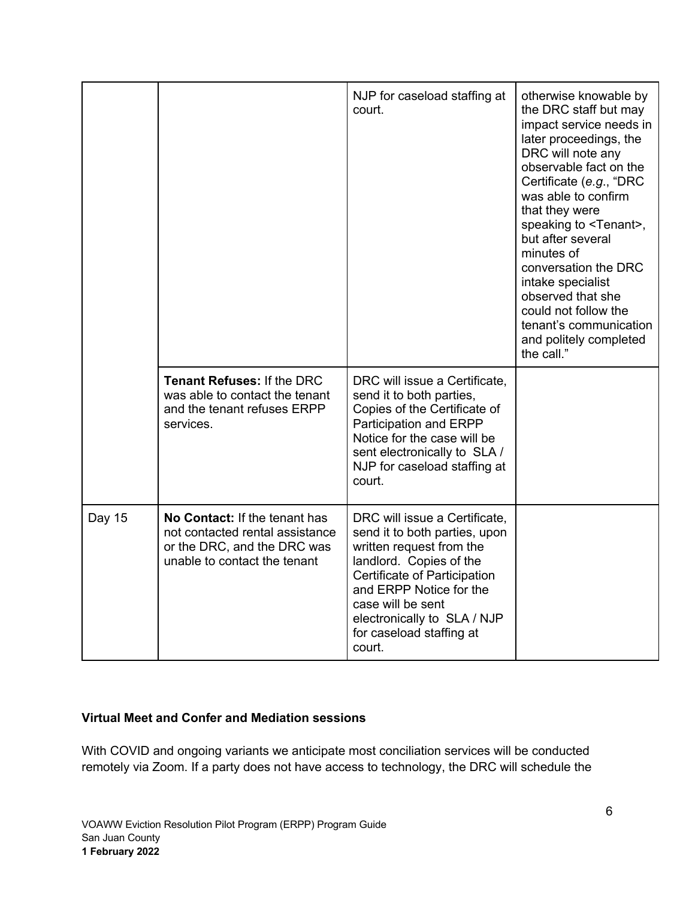|        |                                                                                                                                 | NJP for caseload staffing at<br>court.                                                                                                                                                                                                                                     | otherwise knowable by<br>the DRC staff but may<br>impact service needs in<br>later proceedings, the<br>DRC will note any<br>observable fact on the<br>Certificate (e.g., "DRC<br>was able to confirm<br>that they were<br>speaking to <tenant>,<br/>but after several<br/>minutes of<br/>conversation the DRC<br/>intake specialist<br/>observed that she<br/>could not follow the<br/>tenant's communication<br/>and politely completed<br/>the call."</tenant> |
|--------|---------------------------------------------------------------------------------------------------------------------------------|----------------------------------------------------------------------------------------------------------------------------------------------------------------------------------------------------------------------------------------------------------------------------|------------------------------------------------------------------------------------------------------------------------------------------------------------------------------------------------------------------------------------------------------------------------------------------------------------------------------------------------------------------------------------------------------------------------------------------------------------------|
|        | <b>Tenant Refuses: If the DRC</b><br>was able to contact the tenant<br>and the tenant refuses ERPP<br>services.                 | DRC will issue a Certificate,<br>send it to both parties,<br>Copies of the Certificate of<br>Participation and ERPP<br>Notice for the case will be<br>sent electronically to SLA /<br>NJP for caseload staffing at<br>court.                                               |                                                                                                                                                                                                                                                                                                                                                                                                                                                                  |
| Day 15 | No Contact: If the tenant has<br>not contacted rental assistance<br>or the DRC, and the DRC was<br>unable to contact the tenant | DRC will issue a Certificate,<br>send it to both parties, upon<br>written request from the<br>landlord. Copies of the<br>Certificate of Participation<br>and ERPP Notice for the<br>case will be sent<br>electronically to SLA / NJP<br>for caseload staffing at<br>court. |                                                                                                                                                                                                                                                                                                                                                                                                                                                                  |

## **Virtual Meet and Confer and Mediation sessions**

With COVID and ongoing variants we anticipate most conciliation services will be conducted remotely via Zoom. If a party does not have access to technology, the DRC will schedule the